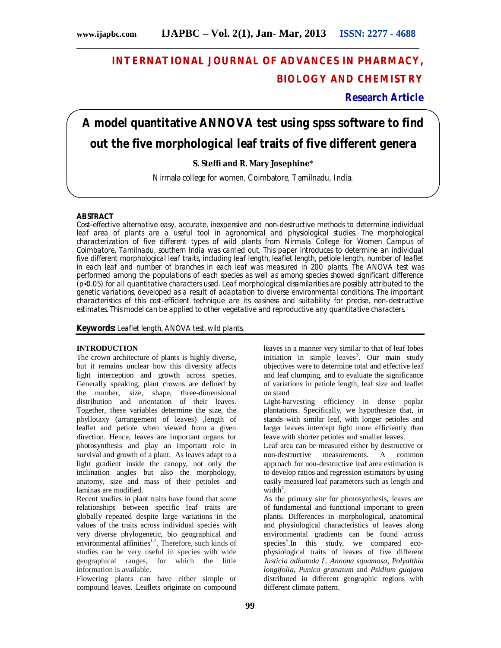## **INTERNATIONAL JOURNAL OF ADVANCES IN PHARMACY, BIOLOGY AND CHEMISTRY**

**Research Article**

# **A model quantitative ANNOVA test using spss software to find out the five morphological leaf traits of five different genera**

## **S. Steffi and R. Mary Josephine\***

Nirmala college for women, Coimbatore, Tamilnadu, India.

## **ABSTRACT**

Cost-effective alternative easy, accurate, inexpensive and non-destructive methods to determine individual leaf area of plants are a useful tool in agronomical and physiological studies. The morphological characterization of five different types of wild plants from Nirmala College for Women Campus of Coimbatore, Tamilnadu, southern India was carried out. This paper introduces to determine an individual five different morphological leaf traits, including leaf length, leaflet length, petiole length, number of leaflet in each leaf and number of branches in each leaf was measured in 200 plants. The ANOVA test was performed among the populations of each species as well as among species showed significant difference (p<0.05) for all quantitative characters used. Leaf morphological dissimilarities are possibly attributed to the genetic variations, developed as a result of adaptation to diverse environmental conditions. The important characteristics of this cost-efficient technique are its easiness and suitability for precise, non-destructive estimates. This model can be applied to other vegetative and reproductive any quantitative characters.

**Keywords:** Leaflet length, ANOVA test, wild plants.

#### **INTRODUCTION**

The crown architecture of plants is highly diverse, but it remains unclear how this diversity affects light interception and growth across species. Generally speaking, plant crowns are defined by the number, size, shape, three-dimensional distribution and orientation of their leaves. Together, these variables determine the size, the phyllotaxy (arrangement of leaves) ,length of leaflet and petiole when viewed from a given direction. Hence, leaves are important organs for photosynthesis and play an important role in survival and growth of a plant. As leaves adapt to a light gradient inside the canopy, not only the inclination angles but also the morphology, anatomy, size and mass of their petioles and laminas are modified.

Recent studies in plant traits have found that some relationships between specific leaf traits are globally repeated despite large variations in the values of the traits across individual species with very diverse phylogenetic, bio geographical and environmental affinities<sup>1,2</sup>. Therefore, such kinds of studies can be very useful in species with wide geographical ranges, for which the little information is available.

Flowering plants can have either simple or compound leaves. Leaflets originate on compound leaves in a manner very similar to that of leaf lobes initiation in simple leaves<sup>3</sup>. Our main study objectives were to determine total and effective leaf and leaf clumping, and to evaluate the significance of variations in petiole length, leaf size and leaflet on stand

Light-harvesting efficiency in dense poplar plantations. Specifically, we hypothesize that, in stands with similar leaf, with longer petioles and larger leaves intercept light more efficiently than leave with shorter petioles and smaller leaves.

Leaf area can be measured either by destructive or<br>non-destructive measurements. A common measurements. A common approach for non-destructive leaf area estimation is to develop ratios and regression estimators by using easily measured leaf parameters such as length and  $width<sup>4</sup>$ .

As the primary site for photosynthesis, leaves are of fundamental and functional important to green plants. Differences in morphological, anatomical and physiological characteristics of leaves along environmental gradients can be found across species<sup>5</sup>.In this study, we compared ecophysiological traits of leaves of five different *Justicia adhatoda L. Annona squamosa, Polyalthia longifolia, Punica granatum* and *Psidium guajava* distributed in different geographic regions with different climate pattern.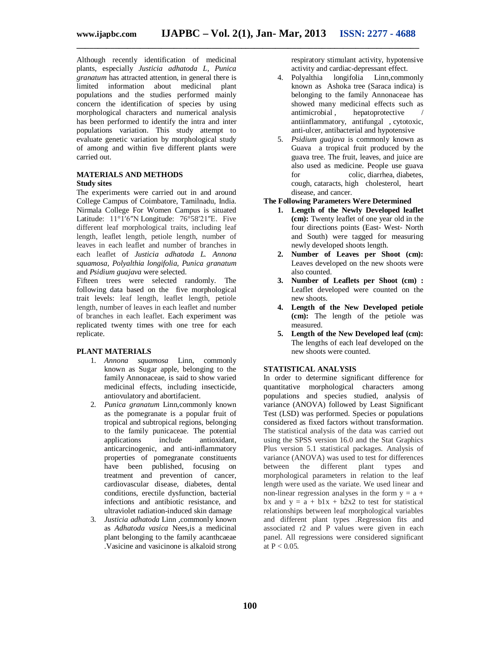**\_\_\_\_\_\_\_\_\_\_\_\_\_\_\_\_\_\_\_\_\_\_\_\_\_\_\_\_\_\_\_\_\_\_\_\_\_\_\_\_\_\_\_\_\_\_\_\_\_\_\_\_\_\_\_\_\_\_\_\_\_\_\_\_\_\_\_\_\_\_\_\_\_\_\_\_\_\_\_\_\_**

Although recently identification of medicinal plants, especially *Justicia adhatoda L, Punica granatum* has attracted attention, in general there is limited information about medicinal plant populations and the studies performed mainly concern the identification of species by using morphological characters and numerical analysis has been performed to identify the intra and inter populations variation. This study attempt to evaluate genetic variation by morphological study of among and within five different plants were carried out.

#### **MATERIALS AND METHODS Study sites**

The experiments were carried out in and around College Campus of Coimbatore, Tamilnadu, India. Nirmala College For Women Campus is situated Latitude: 11°1′6″N Longitude: 76°58′21″E. Five different leaf morphological traits, including leaf length, leaflet length, petiole length, number of leaves in each leaflet and number of branches in each leaflet of *Justicia adhatoda L. Annona squamosa, Polyalthia longifolia, Punica granatum* and *Psidium guajava* were selected.

Fifteen trees were selected randomly. The following data based on the five morphological trait levels: leaf length, leaflet length, petiole length, number of leaves in each leaflet and number of branches in each leaflet. Each experiment was replicated twenty times with one tree for each replicate.

#### **PLANT MATERIALS**

- 1. *Annona squamosa* Linn, commonly known as Sugar apple, belonging to the family Annonaceae, is said to show varied medicinal effects, including insecticide, antiovulatory and abortifacient.
- 2. *Punica granatum* Linn,commonly known as the pomegranate is a popular fruit of tropical and subtropical regions, belonging to the family punicaceae. The potential applications include antioxidant, anticarcinogenic, and anti-inflammatory properties of pomegranate constituents have been published, focusing on treatment and prevention of cancer, cardiovascular disease, diabetes, dental conditions, erectile dysfunction, bacterial infections and antibiotic resistance, and ultraviolet radiation-induced skin damage
- 3. *Justicia adhatoda* Linn ,commonly known as *Adhatoda vasica* Nees,is a medicinal plant belonging to the family acanthcaeae .Vasicine and vasicinone is alkaloid strong

respiratory stimulant activity, hypotensive activity and cardiac-depressant effect.

- 4. Polyalthia longifolia Linn,commonly known as Ashoka tree (Saraca indica) is belonging to the family Annonaceae has showed many medicinal effects such as antimicrobial. hepatoprotective hepatoprotective antiinflammatory, antifungal , cytotoxic, anti-ulcer, antibacterial and hypotensive
- 5. *Psidium guajava* is commonly known as Guava a tropical fruit produced by the guava tree. The fruit, leaves, and juice are also used as medicine. People use guava for colic, diarrhea, diabetes, cough, cataracts, high cholesterol, heart disease, and cancer.

#### **The Following Parameters Were Determined**

- **1. Length of the Newly Developed leaflet (cm):** Twenty leaflet of one year old in the four directions points (East- West- North and South) were tagged for measuring newly developed shoots length.
- **2. Number of Leaves per Shoot (cm):**  Leaves developed on the new shoots were also counted.
- **3. Number of Leaflets per Shoot (cm) :**  Leaflet developed were counted on the new shoots.
- **4. Length of the New Developed petiole (cm):** The length of the petiole was measured.
- **5. Length of the New Developed leaf (cm):** The lengths of each leaf developed on the new shoots were counted.

#### **STATISTICAL ANALYSIS**

In order to determine significant difference for quantitative morphological characters among populations and species studied, analysis of variance (ANOVA) followed by Least Significant Test (LSD) was performed. Species or populations considered as fixed factors without transformation. The statistical analysis of the data was carried out using the SPSS version 16.0 and the Stat Graphics Plus version 5.1 statistical packages. Analysis of variance (ANOVA) was used to test for differences between the different plant types and morphological parameters in relation to the leaf length were used as the variate. We used linear and non-linear regression analyses in the form  $y = a + b$ bx and  $y = a + b1x + b2x2$  to test for statistical relationships between leaf morphological variables and different plant types .Regression fits and associated r2 and P values were given in each panel. All regressions were considered significant at  $P < 0.05$ .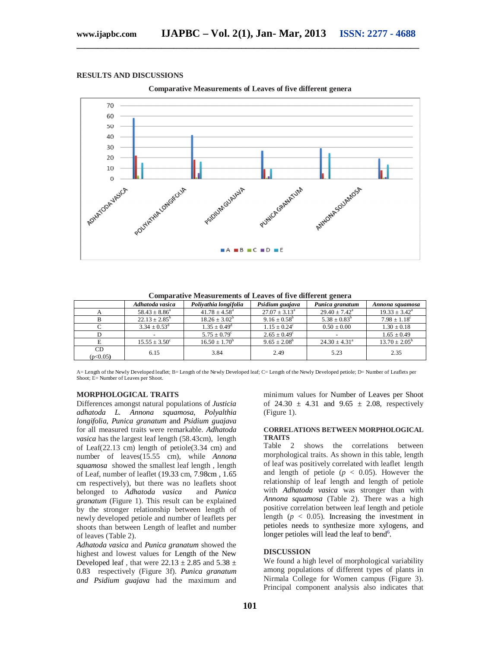#### **RESULTS AND DISCUSSIONS**



**\_\_\_\_\_\_\_\_\_\_\_\_\_\_\_\_\_\_\_\_\_\_\_\_\_\_\_\_\_\_\_\_\_\_\_\_\_\_\_\_\_\_\_\_\_\_\_\_\_\_\_\_\_\_\_\_\_\_\_\_\_\_\_\_\_\_\_\_\_\_\_\_\_\_\_\_\_\_\_\_\_**

**Comparative Measurements of Leaves of five different genera**

|                | Adhatoda vasica          | Poliyathia longifolia    | Psidium guajava          | Punica granatum          | Annona squamosa          |
|----------------|--------------------------|--------------------------|--------------------------|--------------------------|--------------------------|
|                | $58.43 \pm 8.86^{\circ}$ | $41.78 \pm 4.58^{\circ}$ | $27.07 \pm 3.13^{\circ}$ | $29.40 \pm 7.42^{\circ}$ | $19.33 \pm 3.42^{\circ}$ |
|                | $22.13 \pm 2.85^{\rm b}$ | $18.26 \pm 3.02^b$       | $9.16 \pm 0.58^b$        | $5.38 \pm 0.83^b$        | $7.98 \pm 1.18^c$        |
|                | $3.34 \pm 0.53^{\rm d}$  | $1.35 \pm 0.49^{\rm d}$  | $1.15 \pm 0.24^c$        | $0.50 \pm 0.00$          | $1.30 \pm 0.18$          |
|                |                          | $5.75 \pm 0.79^{\circ}$  | $2.65 \pm 0.49^{\circ}$  |                          | $1.65 \pm 0.49$          |
|                | $15.55 \pm 3.50^{\circ}$ | $16.50 \pm 1.70^b$       | $9.65 \pm 2.08^b$        | $24.30 \pm 4.31^{\circ}$ | $13.70 \pm 2.05^{\rm b}$ |
| CD<br>(p<0.05) | 6.15                     | 3.84                     | 2.49                     | 5.23                     | 2.35                     |

A= Length of the Newly Developed leaflet; B= Length of the Newly Developed leaf; C= Length of the Newly Developed petiole; D= Number of Leaflets per Shoot; E= Number of Leaves per Shoot.

#### **MORPHOLOGICAL TRAITS**

Differences amongst natural populations of *Justicia adhatoda L. Annona squamosa, Polyalthia longifolia, Punica granatum* and *Psidium guajava* for all measured traits were remarkable. *Adhatoda vasica* has the largest leaf length (58.43cm), length of Leaf(22.13 cm) length of petiole(3.34 cm) and number of leaves(15.55 cm), while *Annona squamosa* showed the smallest leaf length , length of Leaf, number of leaflet (19.33 cm, 7.98cm , 1.65 cm respectively), but there was no leaflets shoot belonged to *Adhatoda vasica* and *Punica granatum* (Figure 1). This result can be explained by the stronger relationship between length of newly developed petiole and number of leaflets per shoots than between Length of leaflet and number of leaves (Table 2).

*Adhatoda vasica* and *Punica granatum* showed the highest and lowest values for Length of the New Developed leaf, that were  $22.13 \pm 2.85$  and  $5.38 \pm$ 0.83 respectively (Figure 3f). *Punica granatum and Psidium guajava* had the maximum and

minimum values for Number of Leaves per Shoot of 24.30  $\pm$  4.31 and 9.65  $\pm$  2.08, respectively (Figure 1).

#### **CORRELATIONS BETWEEN MORPHOLOGICAL TRAITS**

Table 2 shows the correlations between morphological traits. As shown in this table, length of leaf was positively correlated with leaflet length and length of petiole  $(p < 0.05)$ . However the relationship of leaf length and length of petiole with *Adhatoda vasica* was stronger than with *Annona squamosa* (Table 2). There was a high positive correlation between leaf length and petiole length ( $p < 0.05$ ). Increasing the investment in petioles needs to synthesize more xylogens, and longer petioles will lead the leaf to bend<sup>6</sup>.

#### **DISCUSSION**

We found a high level of morphological variability among populations of different types of plants in Nirmala College for Women campus (Figure 3). Principal component analysis also indicates that